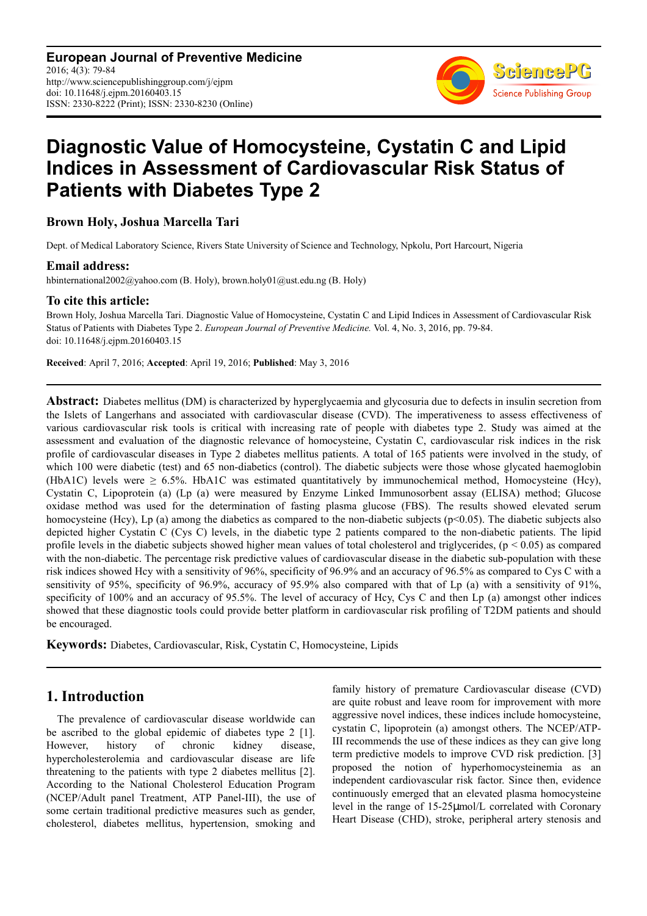**European Journal of Preventive Medicine** 2016; 4(3): 79-84 http://www.sciencepublishinggroup.com/j/ejpm doi: 10.11648/j.ejpm.20160403.15 ISSN: 2330-8222 (Print); ISSN: 2330-8230 (Online)



# **Diagnostic Value of Homocysteine, Cystatin C and Lipid Indices in Assessment of Cardiovascular Risk Status of Patients with Diabetes Type 2**

**Brown Holy, Joshua Marcella Tari** 

Dept. of Medical Laboratory Science, Rivers State University of Science and Technology, Npkolu, Port Harcourt, Nigeria

### **Email address:**

hbinternational2002@yahoo.com (B. Holy), brown.holy01@ust.edu.ng (B. Holy)

#### **To cite this article:**

Brown Holy, Joshua Marcella Tari. Diagnostic Value of Homocysteine, Cystatin C and Lipid Indices in Assessment of Cardiovascular Risk Status of Patients with Diabetes Type 2. *European Journal of Preventive Medicine.* Vol. 4, No. 3, 2016, pp. 79-84. doi: 10.11648/j.ejpm.20160403.15

**Received**: April 7, 2016; **Accepted**: April 19, 2016; **Published**: May 3, 2016

**Abstract:** Diabetes mellitus (DM) is characterized by hyperglycaemia and glycosuria due to defects in insulin secretion from the Islets of Langerhans and associated with cardiovascular disease (CVD). The imperativeness to assess effectiveness of various cardiovascular risk tools is critical with increasing rate of people with diabetes type 2. Study was aimed at the assessment and evaluation of the diagnostic relevance of homocysteine, Cystatin C, cardiovascular risk indices in the risk profile of cardiovascular diseases in Type 2 diabetes mellitus patients. A total of 165 patients were involved in the study, of which 100 were diabetic (test) and 65 non-diabetics (control). The diabetic subjects were those whose glycated haemoglobin (HbA1C) levels were  $\geq 6.5\%$ . HbA1C was estimated quantitatively by immunochemical method, Homocysteine (Hcy), Cystatin C, Lipoprotein (a) (Lp (a) were measured by Enzyme Linked Immunosorbent assay (ELISA) method; Glucose oxidase method was used for the determination of fasting plasma glucose (FBS). The results showed elevated serum homocysteine (Hcy), Lp (a) among the diabetics as compared to the non-diabetic subjects ( $p<0.05$ ). The diabetic subjects also depicted higher Cystatin C (Cys C) levels, in the diabetic type 2 patients compared to the non-diabetic patients. The lipid profile levels in the diabetic subjects showed higher mean values of total cholesterol and triglycerides,  $(p < 0.05)$  as compared with the non-diabetic. The percentage risk predictive values of cardiovascular disease in the diabetic sub-population with these risk indices showed Hcy with a sensitivity of 96%, specificity of 96.9% and an accuracy of 96.5% as compared to Cys C with a sensitivity of 95%, specificity of 96.9%, accuracy of 95.9% also compared with that of Lp (a) with a sensitivity of 91%, specificity of 100% and an accuracy of 95.5%. The level of accuracy of Hcy, Cys C and then Lp (a) amongst other indices showed that these diagnostic tools could provide better platform in cardiovascular risk profiling of T2DM patients and should be encouraged.

**Keywords:** Diabetes, Cardiovascular, Risk, Cystatin C, Homocysteine, Lipids

## **1. Introduction**

The prevalence of cardiovascular disease worldwide can be ascribed to the global epidemic of diabetes type 2 [1]. However, history of chronic kidney disease, hypercholesterolemia and cardiovascular disease are life threatening to the patients with type 2 diabetes mellitus [2]. According to the National Cholesterol Education Program (NCEP/Adult panel Treatment, ATP Panel-III), the use of some certain traditional predictive measures such as gender, cholesterol, diabetes mellitus, hypertension, smoking and family history of premature Cardiovascular disease (CVD) are quite robust and leave room for improvement with more aggressive novel indices, these indices include homocysteine, cystatin C, lipoprotein (a) amongst others. The NCEP/ATP-III recommends the use of these indices as they can give long term predictive models to improve CVD risk prediction. [3] proposed the notion of hyperhomocysteinemia as an independent cardiovascular risk factor. Since then, evidence continuously emerged that an elevated plasma homocysteine level in the range of 15-25µmol/L correlated with Coronary Heart Disease (CHD), stroke, peripheral artery stenosis and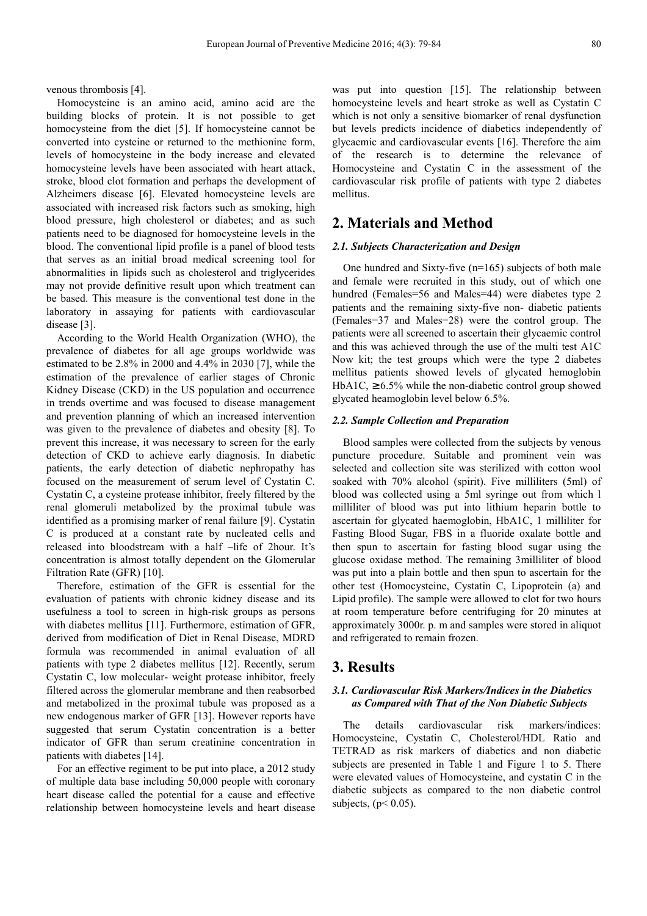venous thrombosis [4].

Homocysteine is an amino acid, amino acid are the building blocks of protein. It is not possible to get homocysteine from the diet [5]. If homocysteine cannot be converted into cysteine or returned to the methionine form, levels of homocysteine in the body increase and elevated homocysteine levels have been associated with heart attack, stroke, blood clot formation and perhaps the development of Alzheimers disease [6]. Elevated homocysteine levels are associated with increased risk factors such as smoking, high blood pressure, high cholesterol or diabetes; and as such patients need to be diagnosed for homocysteine levels in the blood. The conventional lipid profile is a panel of blood tests that serves as an initial broad medical screening tool for abnormalities in lipids such as cholesterol and triglycerides may not provide definitive result upon which treatment can be based. This measure is the conventional test done in the laboratory in assaying for patients with cardiovascular disease [3].

According to the World Health Organization (WHO), the prevalence of diabetes for all age groups worldwide was estimated to be 2.8% in 2000 and 4.4% in 2030 [7], while the estimation of the prevalence of earlier stages of Chronic Kidney Disease (CKD) in the US population and occurrence in trends overtime and was focused to disease management and prevention planning of which an increased intervention was given to the prevalence of diabetes and obesity [8]. To prevent this increase, it was necessary to screen for the early detection of CKD to achieve early diagnosis. In diabetic patients, the early detection of diabetic nephropathy has focused on the measurement of serum level of Cystatin C. Cystatin C, a cysteine protease inhibitor, freely filtered by the renal glomeruli metabolized by the proximal tubule was identified as a promising marker of renal failure [9]. Cystatin C is produced at a constant rate by nucleated cells and released into bloodstream with a half –life of 2hour. It's concentration is almost totally dependent on the Glomerular Filtration Rate (GFR) [10].

Therefore, estimation of the GFR is essential for the evaluation of patients with chronic kidney disease and its usefulness a tool to screen in high-risk groups as persons with diabetes mellitus [11]. Furthermore, estimation of GFR, derived from modification of Diet in Renal Disease, MDRD formula was recommended in animal evaluation of all patients with type 2 diabetes mellitus [12]. Recently, serum Cystatin C, low molecular- weight protease inhibitor, freely filtered across the glomerular membrane and then reabsorbed and metabolized in the proximal tubule was proposed as a new endogenous marker of GFR [13]. However reports have suggested that serum Cystatin concentration is a better indicator of GFR than serum creatinine concentration in patients with diabetes [14].

For an effective regiment to be put into place, a 2012 study of multiple data base including 50,000 people with coronary heart disease called the potential for a cause and effective relationship between homocysteine levels and heart disease

was put into question [15]. The relationship between homocysteine levels and heart stroke as well as Cystatin C which is not only a sensitive biomarker of renal dysfunction but levels predicts incidence of diabetics independently of glycaemic and cardiovascular events [16]. Therefore the aim of the research is to determine the relevance of Homocysteine and Cystatin C in the assessment of the cardiovascular risk profile of patients with type 2 diabetes mellitus.

## **2. Materials and Method**

#### *2.1. Subjects Characterization and Design*

One hundred and Sixty-five (n=165) subjects of both male and female were recruited in this study, out of which one hundred (Females=56 and Males=44) were diabetes type 2 patients and the remaining sixty-five non- diabetic patients (Females=37 and Males=28) were the control group. The patients were all screened to ascertain their glycaemic control and this was achieved through the use of the multi test A1C Now kit; the test groups which were the type 2 diabetes mellitus patients showed levels of glycated hemoglobin HbA1C,  $\geq 6.5\%$  while the non-diabetic control group showed glycated heamoglobin level below 6.5%.

#### *2.2. Sample Collection and Preparation*

Blood samples were collected from the subjects by venous puncture procedure. Suitable and prominent vein was selected and collection site was sterilized with cotton wool soaked with 70% alcohol (spirit). Five milliliters (5ml) of blood was collected using a 5ml syringe out from which l milliliter of blood was put into lithium heparin bottle to ascertain for glycated haemoglobin, HbA1C, 1 milliliter for Fasting Blood Sugar, FBS in a fluoride oxalate bottle and then spun to ascertain for fasting blood sugar using the glucose oxidase method. The remaining 3milliliter of blood was put into a plain bottle and then spun to ascertain for the other test (Homocysteine, Cystatin C, Lipoprotein (a) and Lipid profile). The sample were allowed to clot for two hours at room temperature before centrifuging for 20 minutes at approximately 3000r. p. m and samples were stored in aliquot and refrigerated to remain frozen.

## **3. Results**

#### *3.1. Cardiovascular Risk Markers/Indices in the Diabetics as Compared with That of the Non Diabetic Subjects*

The details cardiovascular risk markers/indices: Homocysteine, Cystatin C, Cholesterol/HDL Ratio and TETRAD as risk markers of diabetics and non diabetic subjects are presented in Table 1 and Figure 1 to 5. There were elevated values of Homocysteine, and cystatin C in the diabetic subjects as compared to the non diabetic control subjects,  $(p< 0.05)$ .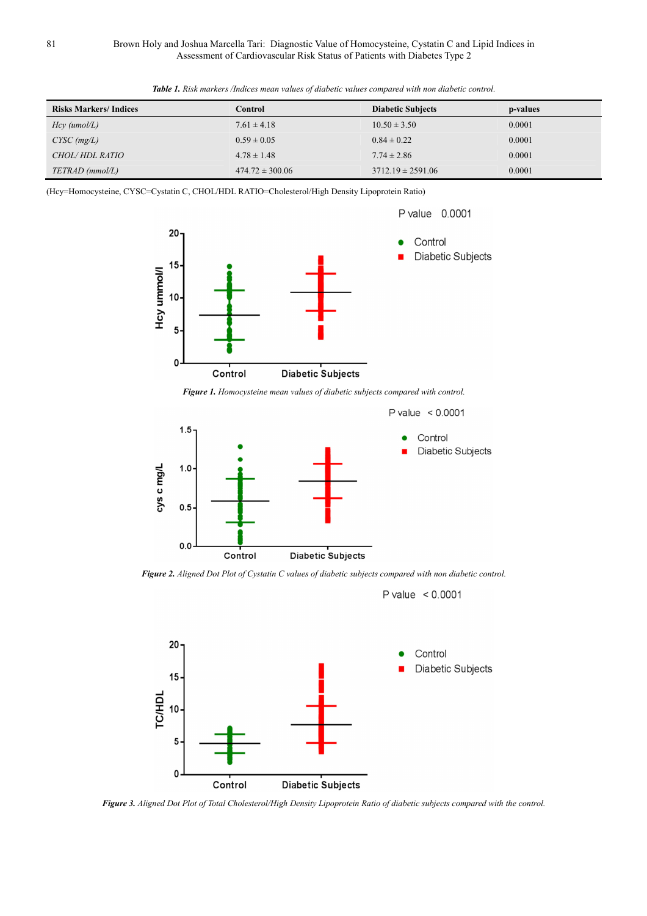| <b>Risks Markers/Indices</b> | Control             | <b>Diabetic Subjects</b> | p-values |
|------------------------------|---------------------|--------------------------|----------|
| $Hcy$ (umol/L)               | $7.61 \pm 4.18$     | $10.50 \pm 3.50$         | 0.0001   |
| $CYSC$ (mg/L)                | $0.59 \pm 0.05$     | $0.84 \pm 0.22$          | 0.0001   |
| <i>CHOL/HDL RATIO</i>        | $4.78 \pm 1.48$     | $7.74 \pm 2.86$          | 0.0001   |
| TETRAD (mmol/L)              | $474.72 \pm 300.06$ | $3712.19 \pm 2591.06$    | 0.0001   |

*Table 1. Risk markers /Indices mean values of diabetic values compared with non diabetic control.* 

(Hcy=Homocysteine, CYSC=Cystatin C, CHOL/HDL RATIO=Cholesterol/High Density Lipoprotein Ratio)



*Figure 1. Homocysteine mean values of diabetic subjects compared with control.* 



*Figure 2. Aligned Dot Plot of Cystatin C values of diabetic subjects compared with non diabetic control.* 

P value  $< 0.0001$ 



*Figure 3. Aligned Dot Plot of Total Cholesterol/High Density Lipoprotein Ratio of diabetic subjects compared with the control.*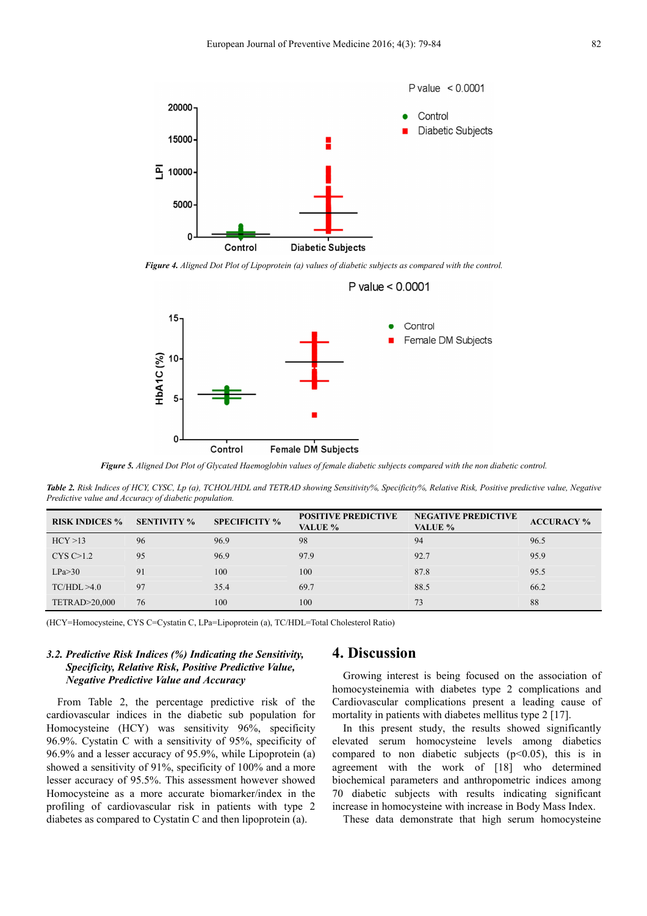

*Figure 4. Aligned Dot Plot of Lipoprotein (a) values of diabetic subjects as compared with the control.* 

P value  $< 0.0001$ 



*Figure 5. Aligned Dot Plot of Glycated Haemoglobin values of female diabetic subjects compared with the non diabetic control.* 

*Table 2. Risk Indices of HCY, CYSC, Lp (a), TCHOL/HDL and TETRAD showing Sensitivity%, Specificity%, Relative Risk, Positive predictive value, Negative Predictive value and Accuracy of diabetic population.* 

| <b>RISK INDICES %</b>   | <b>SENTIVITY %</b> | <b>SPECIFICITY %</b> | <b>POSITIVE PREDICTIVE</b><br>VALUE % | <b>NEGATIVE PREDICTIVE</b><br>VALUE % | <b>ACCURACY %</b> |
|-------------------------|--------------------|----------------------|---------------------------------------|---------------------------------------|-------------------|
| HCY > 13                | 96                 | 96.9                 | 98                                    | 94                                    | 96.5              |
| CYS C>1.2               | 95                 | 96.9                 | 97.9                                  | 92.7                                  | 95.9              |
| LPa > 30                | 91                 | 100                  | 100                                   | 87.8                                  | 95.5              |
| TC/HDL > 4.0            | 97                 | 35.4                 | 69.7                                  | 88.5                                  | 66.2              |
| <b>TETRAD&gt;20,000</b> | 76                 | 100                  | 100                                   | 73                                    | 88                |

(HCY=Homocysteine, CYS C=Cystatin C, LPa=Lipoprotein (a), TC/HDL=Total Cholesterol Ratio)

#### *3.2. Predictive Risk Indices (%) Indicating the Sensitivity, Specificity, Relative Risk, Positive Predictive Value, Negative Predictive Value and Accuracy*

From Table 2, the percentage predictive risk of the cardiovascular indices in the diabetic sub population for Homocysteine (HCY) was sensitivity 96%, specificity 96.9%. Cystatin C with a sensitivity of 95%, specificity of 96.9% and a lesser accuracy of 95.9%, while Lipoprotein (a) showed a sensitivity of 91%, specificity of 100% and a more lesser accuracy of 95.5%. This assessment however showed Homocysteine as a more accurate biomarker/index in the profiling of cardiovascular risk in patients with type 2 diabetes as compared to Cystatin C and then lipoprotein (a).

## **4. Discussion**

Growing interest is being focused on the association of homocysteinemia with diabetes type 2 complications and Cardiovascular complications present a leading cause of mortality in patients with diabetes mellitus type 2 [17].

In this present study, the results showed significantly elevated serum homocysteine levels among diabetics compared to non diabetic subjects  $(p<0.05)$ , this is in agreement with the work of [18] who determined biochemical parameters and anthropometric indices among 70 diabetic subjects with results indicating significant increase in homocysteine with increase in Body Mass Index.

These data demonstrate that high serum homocysteine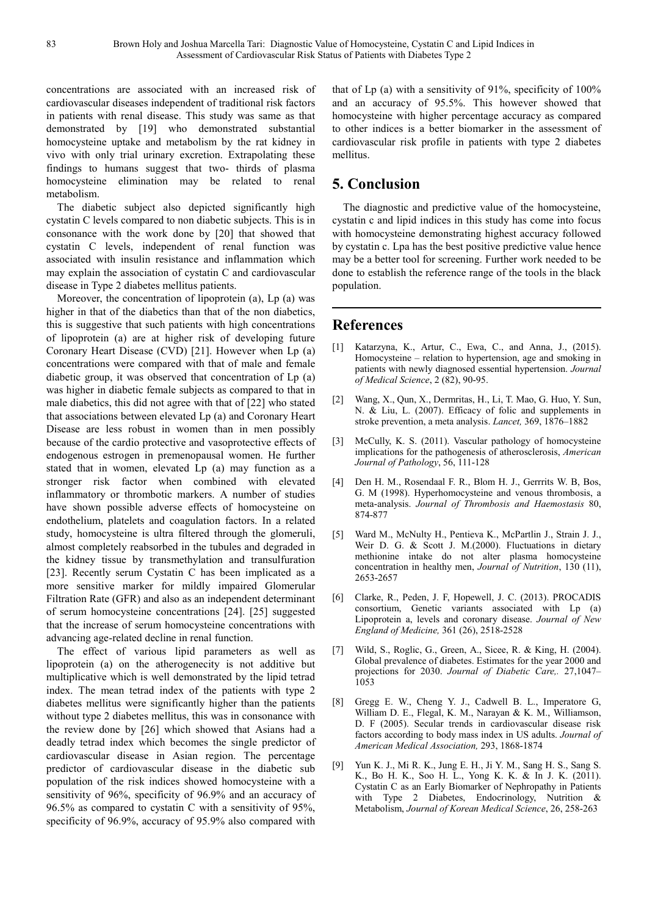concentrations are associated with an increased risk of cardiovascular diseases independent of traditional risk factors in patients with renal disease. This study was same as that demonstrated by [19] who demonstrated substantial homocysteine uptake and metabolism by the rat kidney in vivo with only trial urinary excretion. Extrapolating these findings to humans suggest that two- thirds of plasma homocysteine elimination may be related to renal metabolism.

The diabetic subject also depicted significantly high cystatin C levels compared to non diabetic subjects. This is in consonance with the work done by [20] that showed that cystatin C levels, independent of renal function was associated with insulin resistance and inflammation which may explain the association of cystatin C and cardiovascular disease in Type 2 diabetes mellitus patients.

Moreover, the concentration of lipoprotein (a), Lp (a) was higher in that of the diabetics than that of the non diabetics, this is suggestive that such patients with high concentrations of lipoprotein (a) are at higher risk of developing future Coronary Heart Disease (CVD) [21]. However when Lp (a) concentrations were compared with that of male and female diabetic group, it was observed that concentration of Lp (a) was higher in diabetic female subjects as compared to that in male diabetics, this did not agree with that of [22] who stated that associations between elevated Lp (a) and Coronary Heart Disease are less robust in women than in men possibly because of the cardio protective and vasoprotective effects of endogenous estrogen in premenopausal women. He further stated that in women, elevated Lp (a) may function as a stronger risk factor when combined with elevated inflammatory or thrombotic markers. A number of studies have shown possible adverse effects of homocysteine on endothelium, platelets and coagulation factors. In a related study, homocysteine is ultra filtered through the glomeruli, almost completely reabsorbed in the tubules and degraded in the kidney tissue by transmethylation and transulfuration [23]. Recently serum Cystatin C has been implicated as a more sensitive marker for mildly impaired Glomerular Filtration Rate (GFR) and also as an independent determinant of serum homocysteine concentrations [24]. [25] suggested that the increase of serum homocysteine concentrations with advancing age-related decline in renal function.

The effect of various lipid parameters as well as lipoprotein (a) on the atherogenecity is not additive but multiplicative which is well demonstrated by the lipid tetrad index. The mean tetrad index of the patients with type 2 diabetes mellitus were significantly higher than the patients without type 2 diabetes mellitus, this was in consonance with the review done by [26] which showed that Asians had a deadly tetrad index which becomes the single predictor of cardiovascular disease in Asian region. The percentage predictor of cardiovascular disease in the diabetic sub population of the risk indices showed homocysteine with a sensitivity of 96%, specificity of 96.9% and an accuracy of 96.5% as compared to cystatin C with a sensitivity of 95%, specificity of 96.9%, accuracy of 95.9% also compared with

that of Lp (a) with a sensitivity of 91%, specificity of 100% and an accuracy of 95.5%. This however showed that homocysteine with higher percentage accuracy as compared to other indices is a better biomarker in the assessment of cardiovascular risk profile in patients with type 2 diabetes mellitus.

## **5. Conclusion**

The diagnostic and predictive value of the homocysteine, cystatin c and lipid indices in this study has come into focus with homocysteine demonstrating highest accuracy followed by cystatin c. Lpa has the best positive predictive value hence may be a better tool for screening. Further work needed to be done to establish the reference range of the tools in the black population.

## **References**

- [1] Katarzyna, K., Artur, C., Ewa, C., and Anna, J., (2015). Homocysteine – relation to hypertension, age and smoking in patients with newly diagnosed essential hypertension. *Journal of Medical Science*, 2 (82), 90-95.
- [2] Wang, X., Qun, X., Dermritas, H., Li, T. Mao, G. Huo, Y. Sun, N. & Liu, L. (2007). Efficacy of folic and supplements in stroke prevention, a meta analysis. *Lancet,* 369, 1876–1882
- [3] McCully, K. S. (2011). Vascular pathology of homocysteine implications for the pathogenesis of atherosclerosis, *American Journal of Pathology*, 56, 111-128
- [4] Den H. M., Rosendaal F. R., Blom H. J., Gerrrits W. B, Bos, G. M (1998). Hyperhomocysteine and venous thrombosis, a meta-analysis. *Journal of Thrombosis and Haemostasis* 80, 874-877
- [5] Ward M., McNulty H., Pentieva K., McPartlin J., Strain J. J., Weir D. G. & Scott J. M.(2000). Fluctuations in dietary methionine intake do not alter plasma homocysteine concentration in healthy men, *Journal of Nutrition*, 130 (11), 2653-2657
- [6] Clarke, R., Peden, J. F, Hopewell, J. C. (2013). PROCADIS consortium, Genetic variants associated with Lp (a) Lipoprotein a, levels and coronary disease. *Journal of New England of Medicine,* 361 (26), 2518-2528
- [7] Wild, S., Roglic, G., Green, A., Sicee, R. & King, H. (2004). Global prevalence of diabetes. Estimates for the year 2000 and projections for 2030. *Journal of Diabetic Care,.* 27,1047– 1053
- [8] Gregg E. W., Cheng Y. J., Cadwell B. L., Imperatore G, William D. E., Flegal, K. M., Narayan & K. M., Williamson, D. F (2005). Secular trends in cardiovascular disease risk factors according to body mass index in US adults. *Journal of American Medical Association,* 293, 1868-1874
- [9] Yun K. J., Mi R. K., Jung E. H., Ji Y. M., Sang H. S., Sang S. K., Bo H. K., Soo H. L., Yong K. K. & In J. K. (2011). Cystatin C as an Early Biomarker of Nephropathy in Patients with Type 2 Diabetes, Endocrinology, Nutrition & Metabolism, *Journal of Korean Medical Science*, 26, 258-263